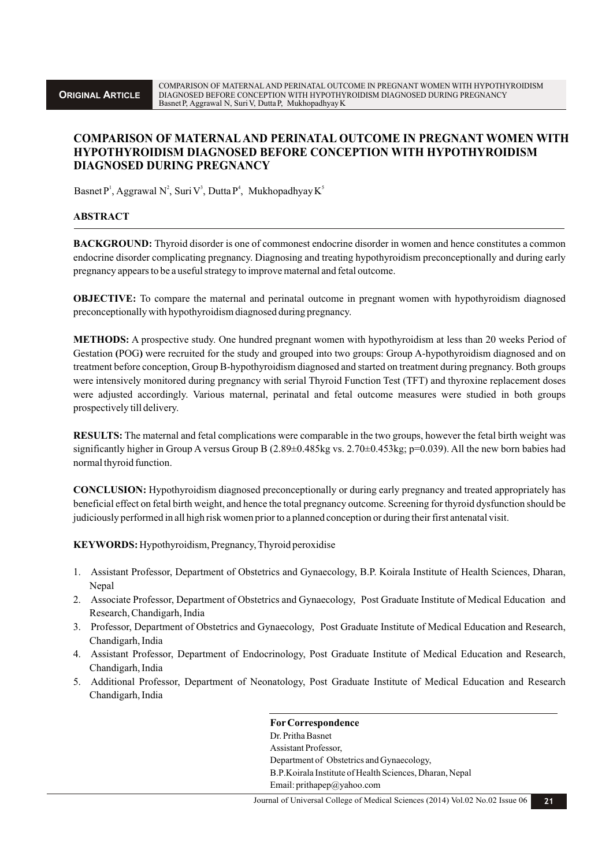# **COMPARISON OF MATERNALAND PERINATAL OUTCOME IN PREGNANT WOMEN WITH HYPOTHYROIDISM DIAGNOSED BEFORE CONCEPTION WITH HYPOTHYROIDISM DIAGNOSED DURING PREGNANCY**

Basnet P<sup>1</sup>, Aggrawal N<sup>2</sup>, Suri V<sup>3</sup>, Dutta P<sup>4</sup>, Mukhopadhyay K<sup>5</sup>

#### **ABSTRACT**

**BACKGROUND:** Thyroid disorder is one of commonest endocrine disorder in women and hence constitutes a common endocrine disorder complicating pregnancy. Diagnosing and treating hypothyroidism preconceptionally and during early pregnancy appears to be a useful strategy to improve maternal and fetal outcome.

**OBJECTIVE:** To compare the maternal and perinatal outcome in pregnant women with hypothyroidism diagnosed preconceptionally with hypothyroidism diagnosed during pregnancy.

**METHODS:** A prospective study. One hundred pregnant women with hypothyroidism at less than 20 weeks Period of Gestation (POG) were recruited for the study and grouped into two groups: Group A-hypothyroidism diagnosed and on treatment before conception, Group B-hypothyroidism diagnosed and started on treatment during pregnancy. Both groups were intensively monitored during pregnancy with serial Thyroid Function Test (TFT) and thyroxine replacement doses were adjusted accordingly. Various maternal, perinatal and fetal outcome measures were studied in both groups prospectively till delivery.

**RESULTS:** The maternal and fetal complications were comparable in the two groups, however the fetal birth weight was significantly higher in Group A versus Group B  $(2.89\pm0.485\text{kg vs. } 2.70\pm0.453\text{kg}; p=0.039)$ . All the new born babies had normal thyroid function.

**CONCLUSION:** Hypothyroidism diagnosed preconceptionally or during early pregnancy and treated appropriately has beneficial effect on fetal birth weight, and hence the total pregnancy outcome.Screening for thyroid dysfunction should be judiciously performed in all high risk women prior to a planned conception or during their first antenatal visit.

**KEYWORDS:** Hypothyroidism, Pregnancy, Thyroid peroxidise

- 1. Assistant Professor, Department of Obstetrics and Gynaecology, B.P. Koirala Institute of Health Sciences, Dharan, Nepal
- 2. Associate Professor, Department of Obstetrics and Gynaecology, Post Graduate Institute of Medical Education and Research, Chandigarh, India
- 3. Professor, Department of Obstetrics and Gynaecology, Post Graduate Institute of Medical Education and Research, Chandigarh, India
- 4. Assistant Professor, Department of Endocrinology, Post Graduate Institute of Medical Education and Research, Chandigarh, India
- 5. Additional Professor, Department of Neonatology, Post Graduate Institute of Medical Education and Research Chandigarh, India

**ForCorrespondence** Dr. Pritha Basnet Assistant Professor, Department of Obstetrics and Gynaecology, B.P.Koirala Institute of Health Sciences, Dharan, Nepal Email: prithapep@yahoo.com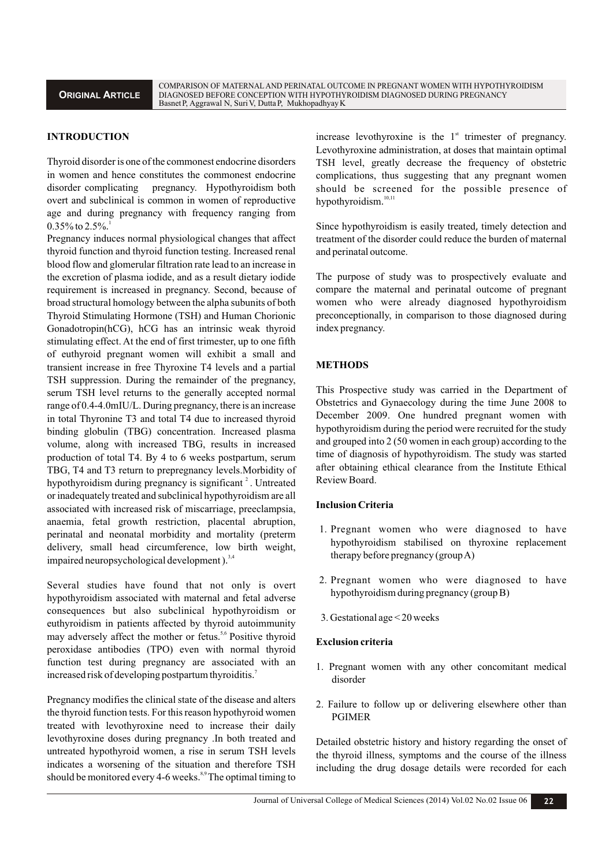## **INTRODUCTION**

Thyroid disorder is one of the commonest endocrine disorders in women and hence constitutes the commonest endocrine disorder complicating pregnancy. Hypothyroidism both overt and subclinical is common in women of reproductive age and during pregnancy with frequency ranging from  $0.35\%$  to  $2.5\%$ .

Pregnancy induces normal physiological changes that affect thyroid function and thyroid function testing. Increased renal blood flow and glomerular filtration rate lead to an increase in the excretion of plasma iodide, and as a result dietary iodide requirement is increased in pregnancy. Second, because of broad structural homology between the alpha subunits of both Thyroid Stimulating Hormone (TSH) and Human Chorionic Gonadotropin(hCG), hCG has an intrinsic weak thyroid stimulating effect. At the end of first trimester, up to one fifth of euthyroid pregnant women will exhibit a small and transient increase in free Thyroxine T4 levels and a partial TSH suppression. During the remainder of the pregnancy, serum TSH level returns to the generally accepted normal range of 0.4-4.0mIU/L. During pregnancy, there is an increase in total Thyronine T3 and total T4 due to increased thyroid binding globulin (TBG) concentration. Increased plasma volume, along with increased TBG, results in increased production of total T4. By 4 to 6 weeks postpartum, serum TBG, T4 and T3 return to prepregnancy levels.Morbidity of hypothyroidism during pregnancy is significant <sup>2</sup>. Untreated or inadequately treated and subclinical hypothyroidism are all associated with increased risk of miscarriage, preeclampsia, anaemia, fetal growth restriction, placental abruption, perinatal and neonatal morbidity and mortality (preterm delivery, small head circumference, low birth weight, impaired neuropsychological development).<sup>3,4</sup>

Several studies have found that not only is overt hypothyroidism associated with maternal and fetal adverse consequences but also subclinical hypothyroidism or euthyroidism in patients affected by thyroid autoimmunity may adversely affect the mother or fetus.<sup>5,6</sup> Positive thyroid peroxidase antibodies (TPO) even with normal thyroid function test during pregnancy are associated with an increased risk of developing postpartum thyroiditis.<sup>7</sup>

Pregnancy modifies the clinical state of the disease and alters the thyroid function tests. For this reason hypothyroid women treated with levothyroxine need to increase their daily levothyroxine doses during pregnancy .In both treated and untreated hypothyroid women, a rise in serum TSH levels indicates a worsening of the situation and therefore TSH should be monitored every 4-6 weeks.<sup>8,9</sup> The optimal timing to

increase levothyroxine is the  $1<sup>st</sup>$  trimester of pregnancy. Levothyroxine administration, at doses that maintain optimal TSH level, greatly decrease the frequency of obstetric complications, thus suggesting that any pregnant women should be screened for the possible presence of hypothyroidism.<sup>10,11</sup>

Since hypothyroidism is easily treated, timely detection and treatment of the disorder could reduce the burden of maternal and perinatal outcome.

The purpose of study was to prospectively evaluate and compare the maternal and perinatal outcome of pregnant women who were already diagnosed hypothyroidism preconceptionally, in comparison to those diagnosed during index pregnancy.

#### **METHODS**

This Prospective study was carried in the Department of Obstetrics and Gynaecology during the time June 2008 to December 2009. One hundred pregnant women with hypothyroidism during the period were recruited for the study and grouped into 2 (50 women in each group) according to the time of diagnosis of hypothyroidism. The study was started after obtaining ethical clearance from the Institute Ethical Review Board.

#### **Inclusion Criteria**

- 1. Pregnant women who were diagnosed to have hypothyroidism stabilised on thyroxine replacement therapy before pregnancy (group A)
- 2. Pregnant women who were diagnosed to have hypothyroidism during pregnancy (group B)
- 3. Gestational age < 20 weeks

#### **Exclusion criteria**

- 1. Pregnant women with any other concomitant medical disorder
- 2. Failure to follow up or delivering elsewhere other than PGIMER

Detailed obstetric history and history regarding the onset of the thyroid illness, symptoms and the course of the illness including the drug dosage details were recorded for each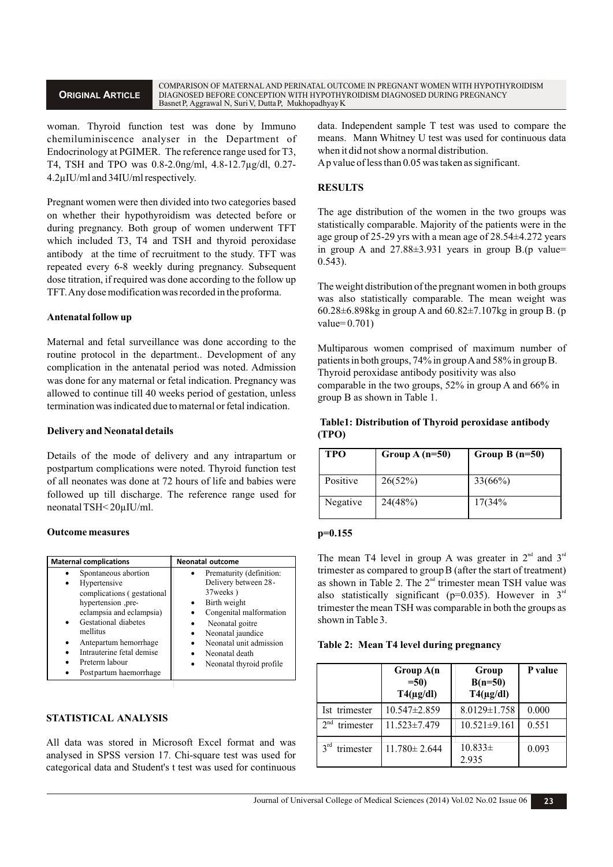woman. Thyroid function test was done by Immuno chemiluminiscence analyser in the Department of Endocrinology at PGIMER. The reference range used for T3, T4, TSH and TPO was 0.8-2.0ng/ml, 4.8-12.7µg/dl, 0.27- 4.2µIU/ml and 34IU/ml respectively.

Pregnant women were then divided into two categories based on whether their hypothyroidism was detected before or during pregnancy. Both group of women underwent TFT which included T3, T4 and TSH and thyroid peroxidase antibody at the time of recruitment to the study. TFT was repeated every 6-8 weekly during pregnancy. Subsequent dose titration, if required was done according to the follow up TFT. Any dose modification was recorded in the proforma.

# **Antenatal follow up**

Maternal and fetal surveillance was done according to the routine protocol in the department.. Development of any complication in the antenatal period was noted. Admission was done for any maternal or fetal indication. Pregnancy was allowed to continue till 40 weeks period of gestation, unless termination was indicated due to maternal or fetal indication.

## **Delivery and Neonatal details**

Details of the mode of delivery and any intrapartum or postpartum complications were noted. Thyroid function test of all neonates was done at 72 hours of life and babies were followed up till discharge. The reference range used for neonatal TSH< 20µIU/ml.

## **Outcome measures**

| <b>Maternal complications</b>                                                                                                                                                                                                                              | <b>Neonatal outcome</b>                                                                                                                                                                                                    |  |
|------------------------------------------------------------------------------------------------------------------------------------------------------------------------------------------------------------------------------------------------------------|----------------------------------------------------------------------------------------------------------------------------------------------------------------------------------------------------------------------------|--|
| Spontaneous abortion<br>Hypertensive<br>complications (gestational<br>hypertension ,pre-<br>eclampsia and eclampsia)<br>Gestational diabetes<br>mellitus<br>Antepartum hemorrhage<br>Intrauterine fetal demise<br>Preterm labour<br>Postpartum haemorrhage | Prematurity (definition:<br>Delivery between 28-<br>37 weeks)<br>Birth weight<br>Congenital malformation<br>Neonatal goitre<br>Neonatal jaundice<br>Neonatal unit admission<br>Neonatal death<br>Neonatal thyroid profile. |  |

# **STATISTICAL ANALYSIS**

All data was stored in Microsoft Excel format and was analysed in SPSS version 17. Chi-square test was used for categorical data and Student's t test was used for continuous data. Independent sample T test was used to compare the means. Mann Whitney U test was used for continuous data when it did not show a normal distribution.

Ap value of less than 0.05 was taken as significant.

## **RESULTS**

The age distribution of the women in the two groups was statistically comparable. Majority of the patients were in the age group of 25-29 yrs with a mean age of 28.54±4.272 years in group A and  $27.88\pm3.931$  years in group B.(p value= 0.543).

The weight distribution of the pregnant women in both groups was also statistically comparable. The mean weight was 60.28 $\pm$ 6.898kg in group A and 60.82 $\pm$ 7.107kg in group B. (p  $value= 0.701$ 

Multiparous women comprised of maximum number of patients in both groups, 74% in group Aand 58% in group B. Thyroid peroxidase antibody positivity was also comparable in the two groups, 52% in group A and 66% in group B as shown in Table 1.

# **Table1: Distribution of Thyroid peroxidase antibody (TPO)**

| <b>TPO</b> | Group $A(n=50)$ | Group $B(n=50)$ |
|------------|-----------------|-----------------|
| Positive   | 26(52%)         | $33(66\%)$      |
| Negative   | 24(48%)         | 17(34%          |

## **p=0.155**

The mean T4 level in group A was greater in  $2<sup>nd</sup>$  and  $3<sup>rd</sup>$ trimester as compared to groupB (after the start of treatment) as shown in Table 2. The  $2<sup>nd</sup>$  trimester mean TSH value was also statistically significant ( $p=0.035$ ). However in  $3<sup>rd</sup>$ trimester the mean TSH was comparable in both the groups as shown in Table 3.

## **Table 2: Mean T4 level during pregnancy**

|                              | Group A(n<br>$=50$<br>$T4(\mu g/dl)$ | Group<br>$B(n=50)$<br>$T4(\mu g/dl)$ | P value |
|------------------------------|--------------------------------------|--------------------------------------|---------|
| Ist trimester                | $10.547 \pm 2.859$                   | $8.0129 \pm 1.758$                   | 0.000   |
| 2 <sub>nd</sub><br>trimester | 11.523±7.479                         | $10.521 \pm 9.161$                   | 0.551   |
| $3^{rd}$<br>trimester        | $11.780 \pm 2.644$                   | $10.833\pm$<br>2.935                 | 0.093   |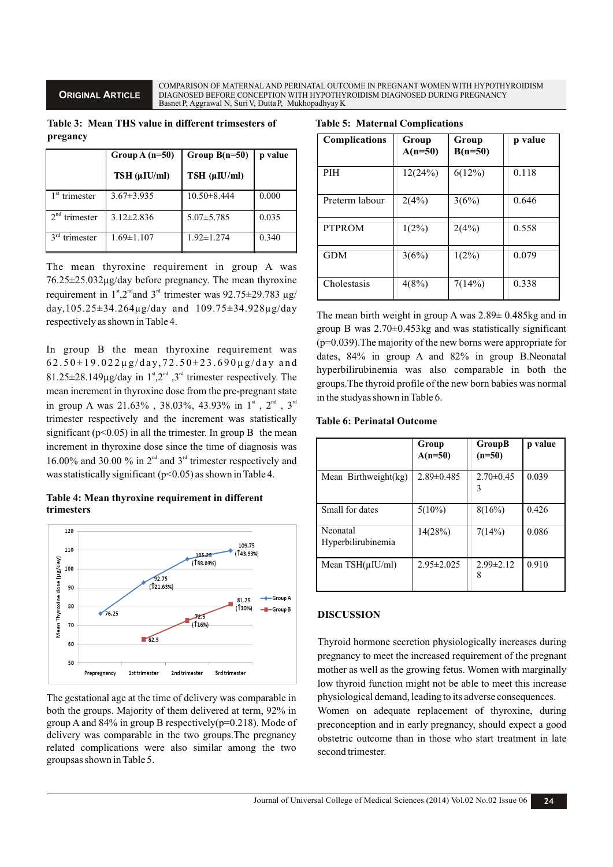COMPARISON OF MATERNAL AND PERINATAL OUTCOME IN PREGNANT WOMEN WITH HYPOTHYROIDISM DIAGNOSED BEFORE CONCEPTION WITH HYPOTHYROIDISM DIAGNOSED DURING PREGNANCY BasnetP, Aggrawal N, SuriV, DuttaP, MukhopadhyayK

**Table 3: Mean THS value in different trimsesters of pregancy**

|                              | Group $A(n=50)$  | Group $B(n=50)$      | p value |
|------------------------------|------------------|----------------------|---------|
|                              | TSH (uIU/ml)     | $TSH$ ( $\mu$ IU/ml) |         |
| $1st$ trimester              | $3.67 \pm 3.935$ | $10.50 \pm 8.444$    | 0.000   |
| $2^{nd}$<br>trimester        | $3.12 \pm 2.836$ | $5.07 \pm 5.785$     | 0.035   |
| 3 <sup>rd</sup><br>trimester | $1.69 \pm 1.107$ | $1.92 \pm 1.274$     | 0.340   |

The mean thyroxine requirement in group A was 76.25±25.032µg/day before pregnancy. The mean thyroxine requirement in 1<sup>st</sup>, 2<sup>nd</sup> and 3<sup>rd</sup> trimester was 92.75 $\pm$ 29.783  $\mu$ g/ day,105.25±34.264µg/day and 109.75±34.928µg/day respectively as shown in Table 4.

In group B the mean thyroxine requirement was  $62.50 \pm 19.022 \mu$ g/day,  $72.50 \pm 23.690 \mu$ g/day and  $81.25\pm 28.149\mu g/day$  in  $1^{\text{st}}$ ,  $2^{\text{nd}}$ ,  $3^{\text{rd}}$  trimester respectively. The mean increment in thyroxine dose from the pre-pregnant state in group A was  $21.63\%$  ,  $38.03\%$ ,  $43.93\%$  in  $1^{\text{st}}$  ,  $2^{\text{nd}}$  ,  $3^{\text{rd}}$ trimester respectively and the increment was statistically significant ( $p<0.05$ ) in all the trimester. In group B the mean increment in thyroxine dose since the time of diagnosis was 16.00% and 30.00 % in  $2<sup>nd</sup>$  and  $3<sup>rd</sup>$  trimester respectively and was statistically significant ( $p$ <0.05) as shown in Table 4.

#### **Table 4: Mean thyroxine requirement in different trimesters**



The gestational age at the time of delivery was comparable in both the groups. Majority of them delivered at term, 92% in group A and  $84\%$  in group B respectively( $p=0.218$ ). Mode of delivery was comparable in the two groups.The pregnancy related complications were also similar among the two groupsas shown in Table 5.

|  |  | <b>Table 5: Maternal Complications</b> |
|--|--|----------------------------------------|
|--|--|----------------------------------------|

| <b>Complications</b> | Group<br>$A(n=50)$ | Group<br>$B(n=50)$ | p value |
|----------------------|--------------------|--------------------|---------|
| <b>PIH</b>           | 12(24%)            | $6(12\%)$          | 0.118   |
| Preterm labour       | 2(4%)              | 3(6%)              | 0.646   |
| <b>PTPROM</b>        | $1(2\%)$           | 2(4%)              | 0.558   |
| <b>GDM</b>           | 3(6%)              | $1(2\%)$           | 0.079   |
| Cholestasis          | 4(8%)              | 7(14%)             | 0.338   |

The mean birth weight in group A was 2.89± 0.485kg and in group B was 2.70±0.453kg and was statistically significant (p=0.039).The majority of the new borns were appropriate for dates, 84% in group A and 82% in group B.Neonatal hyperbilirubinemia was also comparable in both the groups.The thyroid profile of the new born babies was normal in the studyas shown in Table 6.

#### **Table 6: Perinatal Outcome**

|                                | Group<br>$A(n=50)$ | <b>GroupB</b><br>$(n=50)$ | p value |
|--------------------------------|--------------------|---------------------------|---------|
| Mean Birthweight(kg)           | $2.89 \pm 0.485$   | $2.70 \pm 0.45$<br>3      | 0.039   |
| Small for dates                | $5(10\%)$          | 8(16%)                    | 0.426   |
| Neonatal<br>Hyperbilirubinemia | 14(28%)            | 7(14%)                    | 0.086   |
| Mean $TSH(uIU/ml)$             | $2.95 \pm 2.025$   | $2.99 \pm 2.12$<br>8      | 0.910   |

## **DISCUSSION**

Thyroid hormone secretion physiologically increases during pregnancy to meet the increased requirement of the pregnant mother as well as the growing fetus. Women with marginally low thyroid function might not be able to meet this increase physiological demand, leading to its adverse consequences.

Women on adequate replacement of thyroxine, during preconception and in early pregnancy, should expect a good obstetric outcome than in those who start treatment in late second trimester.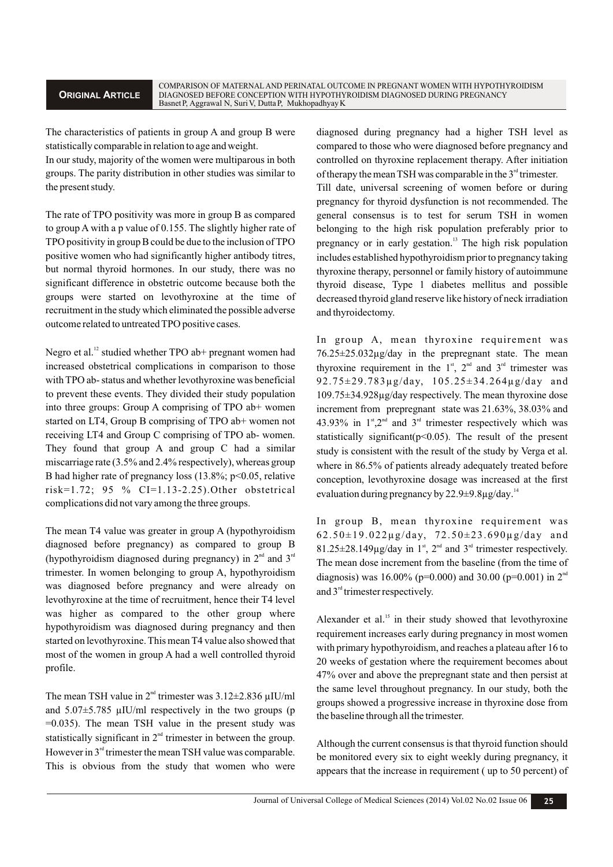The characteristics of patients in group A and group B were statistically comparable in relation to age and weight.

In our study, majority of the women were multiparous in both groups. The parity distribution in other studies was similar to the present study.

The rate of TPO positivity was more in group B as compared to group A with a p value of 0.155. The slightly higher rate of TPO positivity in group B could be due to the inclusion of TPO positive women who had significantly higher antibody titres, but normal thyroid hormones. In our study, there was no significant difference in obstetric outcome because both the groups were started on levothyroxine at the time of recruitment in the study which eliminated the possible adverse outcome related to untreated TPO positive cases.

Negro et al.<sup>12</sup> studied whether TPO ab+ pregnant women had increased obstetrical complications in comparison to those with TPO ab- status and whether levothyroxine was beneficial to prevent these events. They divided their study population into three groups: Group A comprising of TPO ab+ women started on LT4, Group B comprising of TPO ab+ women not receiving LT4 and Group C comprising of TPO ab- women. They found that group A and group C had a similar miscarriage rate (3.5% and 2.4% respectively), whereas group B had higher rate of pregnancy loss (13.8%; p<0.05, relative risk=1.72; 95 % CI=1.13-2.25).Other obstetrical complications did not vary among the three groups.

The mean T4 value was greater in group A (hypothyroidism diagnosed before pregnancy) as compared to group B (hypothyroidism diagnosed during pregnancy) in  $2<sup>nd</sup>$  and  $3<sup>rd</sup>$ trimester. In women belonging to group A, hypothyroidism was diagnosed before pregnancy and were already on levothyroxine at the time of recruitment, hence their T4 level was higher as compared to the other group where hypothyroidism was diagnosed during pregnancy and then started on levothyroxine. This mean T4 value also showed that most of the women in group A had a well controlled thyroid profile.

The mean TSH value in  $2<sup>nd</sup>$  trimester was  $3.12\pm2.836$   $\mu$ IU/ml and  $5.07\pm5.785$  µIU/ml respectively in the two groups (p  $=0.035$ ). The mean TSH value in the present study was statistically significant in  $2<sup>nd</sup>$  trimester in between the group. However in  $3<sup>nd</sup>$  trimester the mean TSH value was comparable. This is obvious from the study that women who were diagnosed during pregnancy had a higher TSH level as compared to those who were diagnosed before pregnancy and controlled on thyroxine replacement therapy. After initiation of therapy the mean TSH was comparable in the  $3<sup>rd</sup>$  trimester.

Till date, universal screening of women before or during pregnancy for thyroid dysfunction is not recommended. The general consensus is to test for serum TSH in women belonging to the high risk population preferably prior to pregnancy or in early gestation.<sup>13</sup> The high risk population includes established hypothyroidism prior to pregnancy taking thyroxine therapy, personnel or family history of autoimmune thyroid disease, Type 1 diabetes mellitus and possible decreased thyroid gland reserve like history of neck irradiation and thyroidectomy.

In group A, mean thyroxine requirement was 76.25±25.032µg/day in the prepregnant state. The mean thyroxine requirement in the  $1<sup>st</sup>$ ,  $2<sup>nd</sup>$  and  $3<sup>rd</sup>$  trimester was 92.75±29.783µg/day, 105.25±34.264µg/day and 109.75±34.928µg/day respectively. The mean thyroxine dose increment from prepregnant state was 21.63%, 38.03% and 43.93% in  $1^{st}$ ,  $2^{nd}$  and  $3^{rd}$  trimester respectively which was statistically significant( $p$ <0.05). The result of the present study is consistent with the result of the study by Verga et al. where in 86.5% of patients already adequately treated before conception, levothyroxine dosage was increased at the first evaluation during pregnancy by  $22.9\pm9.8\mu$ g/day.<sup>14</sup>

In group B, mean thyroxine requirement was  $62.50\pm19.022\mu$ g/day,  $72.50\pm23.690\mu$ g/day and  $81.25\pm 28.149\mu$ g/day in 1<sup>st</sup>, 2<sup>nd</sup> and 3<sup>rd</sup> trimester respectively. The mean dose increment from the baseline (from the time of diagnosis) was 16.00% (p=0.000) and 30.00 (p=0.001) in  $2<sup>nd</sup>$ and  $3<sup>rd</sup>$  trimester respectively.

Alexander et al. $<sup>15</sup>$  in their study showed that levothyroxine</sup> requirement increases early during pregnancy in most women with primary hypothyroidism, and reaches a plateau after 16 to 20 weeks of gestation where the requirement becomes about 47% over and above the prepregnant state and then persist at the same level throughout pregnancy. In our study, both the groups showed a progressive increase in thyroxine dose from the baseline through all the trimester.

Although the current consensus is that thyroid function should be monitored every six to eight weekly during pregnancy, it appears that the increase in requirement ( up to 50 percent) of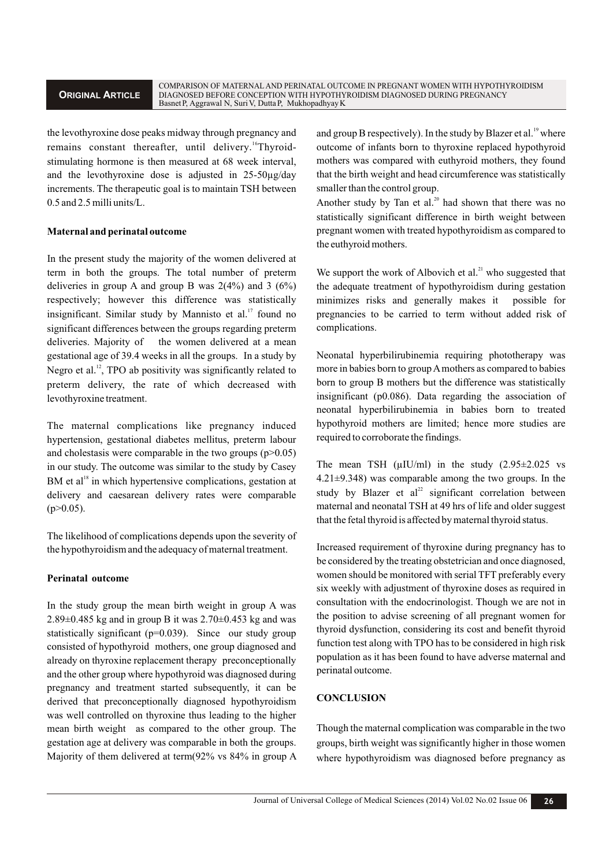the levothyroxine dose peaks midway through pregnancy and remains constant thereafter, until delivery.<sup>16</sup>Thyroidstimulating hormone is then measured at 68 week interval, and the levothyroxine dose is adjusted in 25-50µg/day increments. The therapeutic goal is to maintain TSH between 0.5 and 2.5 milli units/L.

## **Maternal and perinatal outcome**

In the present study the majority of the women delivered at term in both the groups. The total number of preterm deliveries in group A and group B was  $2(4%)$  and 3  $(6%)$ respectively; however this difference was statistically insignificant. Similar study by Mannisto et al.<sup>17</sup> found no significant differences between the groups regarding preterm deliveries. Majority of the women delivered at a mean gestational age of 39.4 weeks in all the groups. In a study by Negro et al.<sup>12</sup>, TPO ab positivity was significantly related to preterm delivery, the rate of which decreased with levothyroxine treatment.

The maternal complications like pregnancy induced hypertension, gestational diabetes mellitus, preterm labour and cholestasis were comparable in the two groups  $(p>0.05)$ in our study. The outcome was similar to the study by Casey  $BM$  et al<sup>18</sup> in which hypertensive complications, gestation at delivery and caesarean delivery rates were comparable  $(p>0.05)$ .

The likelihood of complications depends upon the severity of the hypothyroidism and the adequacy of maternal treatment.

# **Perinatal outcome**

In the study group the mean birth weight in group A was 2.89±0.485 kg and in group B it was 2.70±0.453 kg and was statistically significant (p=0.039). Since our study group consisted of hypothyroid mothers, one group diagnosed and already on thyroxine replacement therapy preconceptionally and the other group where hypothyroid was diagnosed during pregnancy and treatment started subsequently, it can be derived that preconceptionally diagnosed hypothyroidism was well controlled on thyroxine thus leading to the higher mean birth weight as compared to the other group. The gestation age at delivery was comparable in both the groups. Majority of them delivered at term(92% vs 84% in group A and group B respectively). In the study by Blazer et al.<sup>19</sup> where outcome of infants born to thyroxine replaced hypothyroid mothers was compared with euthyroid mothers, they found that the birth weight and head circumference was statistically smaller than the control group.

Another study by Tan et al.<sup>20</sup> had shown that there was no statistically significant difference in birth weight between pregnant women with treated hypothyroidism as compared to the euthyroid mothers.

We support the work of Albovich et al. $^{21}$  who suggested that the adequate treatment of hypothyroidism during gestation minimizes risks and generally makes it possible for pregnancies to be carried to term without added risk of complications.

Neonatal hyperbilirubinemia requiring phototherapy was more in babies born to group Amothers as compared to babies born to group B mothers but the difference was statistically insignificant (p0.086). Data regarding the association of neonatal hyperbilirubinemia in babies born to treated hypothyroid mothers are limited; hence more studies are required to corroborate the findings.

The mean TSH  $(\mu I U/ml)$  in the study  $(2.95 \pm 2.025 \text{ vs }$ 4.21±9.348) was comparable among the two groups. In the study by Blazer et  $al^{22}$  significant correlation between maternal and neonatal TSH at 49 hrs of life and older suggest that the fetal thyroid is affected by maternal thyroid status.

Increased requirement of thyroxine during pregnancy has to be considered by the treating obstetrician and once diagnosed, women should be monitored with serial TFT preferably every six weekly with adjustment of thyroxine doses as required in consultation with the endocrinologist. Though we are not in the position to advise screening of all pregnant women for thyroid dysfunction, considering its cost and benefit thyroid function test along with TPO has to be considered in high risk population as it has been found to have adverse maternal and perinatal outcome.

## **CONCLUSION**

Though the maternal complication was comparable in the two groups, birth weight was significantly higher in those women where hypothyroidism was diagnosed before pregnancy as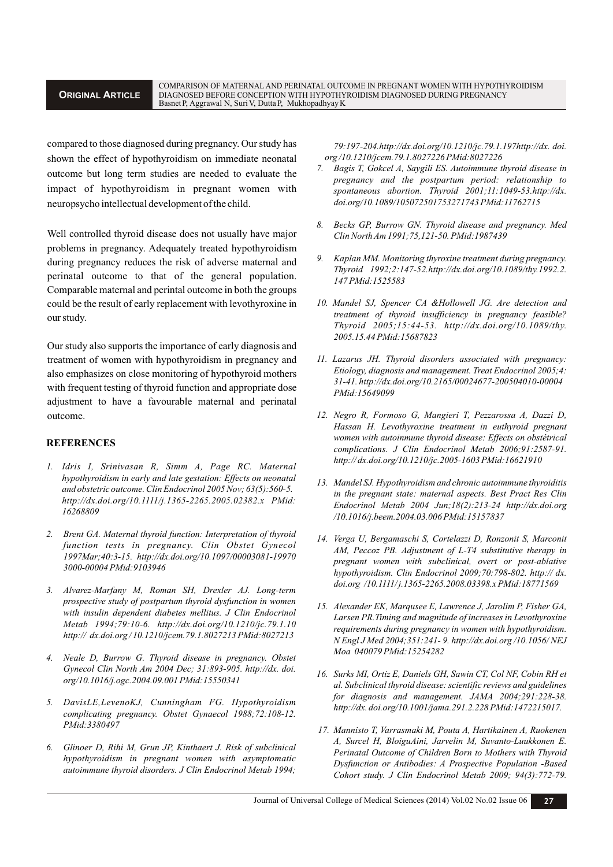compared to those diagnosed during pregnancy. Our study has shown the effect of hypothyroidism on immediate neonatal outcome but long term studies are needed to evaluate the impact of hypothyroidism in pregnant women with neuropsycho intellectual development of the child.

Well controlled thyroid disease does not usually have major problems in pregnancy. Adequately treated hypothyroidism during pregnancy reduces the risk of adverse maternal and perinatal outcome to that of the general population. Comparable maternal and perintal outcome in both the groups could be the result of early replacement with levothyroxine in our study.

Our study also supports the importance of early diagnosis and treatment of women with hypothyroidism in pregnancy and also emphasizes on close monitoring of hypothyroid mothers with frequent testing of thyroid function and appropriate dose adjustment to have a favourable maternal and perinatal outcome.

#### **REFERENCES**

- *1. Idris I, Srinivasan R, Simm A, Page RC. Maternal hypothyroidism in early and late gestation: Effects on neonatal and obstetric outcome. Clin Endocrinol 2005 Nov; 63(5):560-5. http://dx.doi.org/10.1111/j.1365-2265.2005.02382.x PMid: 16268809*
- *2. Brent GA. Maternal thyroid function: Interpretation of thyroid function tests in pregnancy. Clin Obstet Gynecol 1997Mar;40:3-15. http://dx.doi.org/10.1097/00003081-19970 3000-00004 PMid:9103946*
- *3. Alvarez-Marfany M, Roman SH, Drexler AJ. Long-term prospective study of postpartum thyroid dysfunction in women with insulin dependent diabetes mellitus. J Clin Endocrinol Metab 1994;79:10-6. http://dx.doi.org/10.1210/jc.79.1.10 http:// dx.doi.org / 10.1210/jcem.79.1.8027213 PMid:8027213*
- *4. Neale D, Burrow G. Thyroid disease in pregnancy. Obstet Gynecol Clin North Am 2004 Dec; 31:893-905. http://dx. doi. org/10.1016/j.ogc.2004.09.001 PMid:15550341*
- *5. DavisLE,LevenoKJ, Cunningham FG. Hypothyroidism complicating pregnancy. Obstet Gynaecol 1988;72:108-12. PMid:3380497*
- *6. Glinoer D, Rihi M, Grun JP, Kinthaert J. Risk of subclinical hypothyroidism in pregnant women with asymptomatic autoimmune thyroid disorders. J Clin Endocrinol Metab 1994;*

*79:197-204.http://dx.doi.org/10.1210/jc.79.1.197http://dx. doi. org /10.1210/jcem.79.1.8027226 PMid:8027226*

- *7. Bagis T, Gokcel A, Saygili ES. Autoimmune thyroid disease in pregnancy and the postpartum period: relationship to spontaneous abortion. Thyroid 2001;11:1049-53.http://dx. doi.org/10.1089/105072501753271743 PMid:11762715*
- *8. Becks GP, Burrow GN. Thyroid disease and pregnancy. Med Clin North Am 1991;75,121-50. PMid:1987439*
- *9. Kaplan MM. Monitoring thyroxine treatment during pregnancy. Thyroid 1992;2:147-52.http://dx.doi.org/10.1089/thy.1992.2. 147 PMid:1525583*
- *10. Mandel SJ, Spencer CA &Hollowell JG. Are detection and treatment of thyroid insufficiency in pregnancy feasible? Thyroid 2005;15:44-53. http://dx.doi.org/10.1089/thy. 2005.15.44 PMid:15687823*
- *11. Lazarus JH. Thyroid disorders associated with pregnancy: Etiology, diagnosis and management. Treat Endocrinol 2005;4: 31-41. http://dx.doi.org/10.2165/00024677-200504010-00004 PMid:15649099*
- *12. Negro R, Formoso G, Mangieri T, Pezzarossa A, Dazzi D, Hassan H. Levothyroxine treatment in euthyroid pregnant women with autoinmune thyroid disease: Effects on obstétrical complications. J Clin Endocrinol Metab 2006;91:2587-91. http:// dx.doi.org/10.1210/jc.2005-1603 PMid:16621910*
- *13. Mandel SJ. Hypothyroidism and chronic autoimmune thyroiditis in the pregnant state: maternal aspects. Best Pract Res Clin Endocrinol Metab 2004 Jun;18(2):213-24 http://dx.doi.org /10.1016/j.beem.2004.03.006 PMid:15157837*
- *14. Verga U, Bergamaschi S, Cortelazzi D, Ronzonit S, Marconit AM, Peccoz PB. Adjustment of L-T4 substitutive therapy in pregnant women with subclinical, overt or post-ablative hypothyroidism. Clin Endocrinol 2009;70:798-802. http:// dx. doi.org /10.1111/ j.1365-2265.2008.03398.x PMid:18771569*
- *15. Alexander EK, Marqusee E, Lawrence J, Jarolim P, Fisher GA, Larsen PR.Timing and magnitude of increases in Levothyroxine requirements during pregnancy in women with hypothyroidism. N Engl J Med 2004;351:241- 9. http://dx.doi.org /10.1056/ NEJ Moa 040079 PMid:15254282*
- *16. Surks MI, Ortiz E, Daniels GH, Sawin CT, Col NF, Cobin RH et al. Subclinical thyroid disease: scientific reviews and guidelines for diagnosis and management. JAMA 2004;291:228-38. http://dx. doi.org/10.1001/jama.291.2.228 PMid:1472215017.*
- *17. Mannisto T, Varrasmaki M, Pouta A, Hartikainen A, Ruokenen A, Surcel H, BloiguAini, Jarvelin M, Suvanto-Luukkonen E. Perinatal Outcome of Children Born to Mothers with Thyroid Dysfunction or Antibodies: A Prospective Population -Based Cohort study. J Clin Endocrinol Metab 2009; 94(3):772-79.*